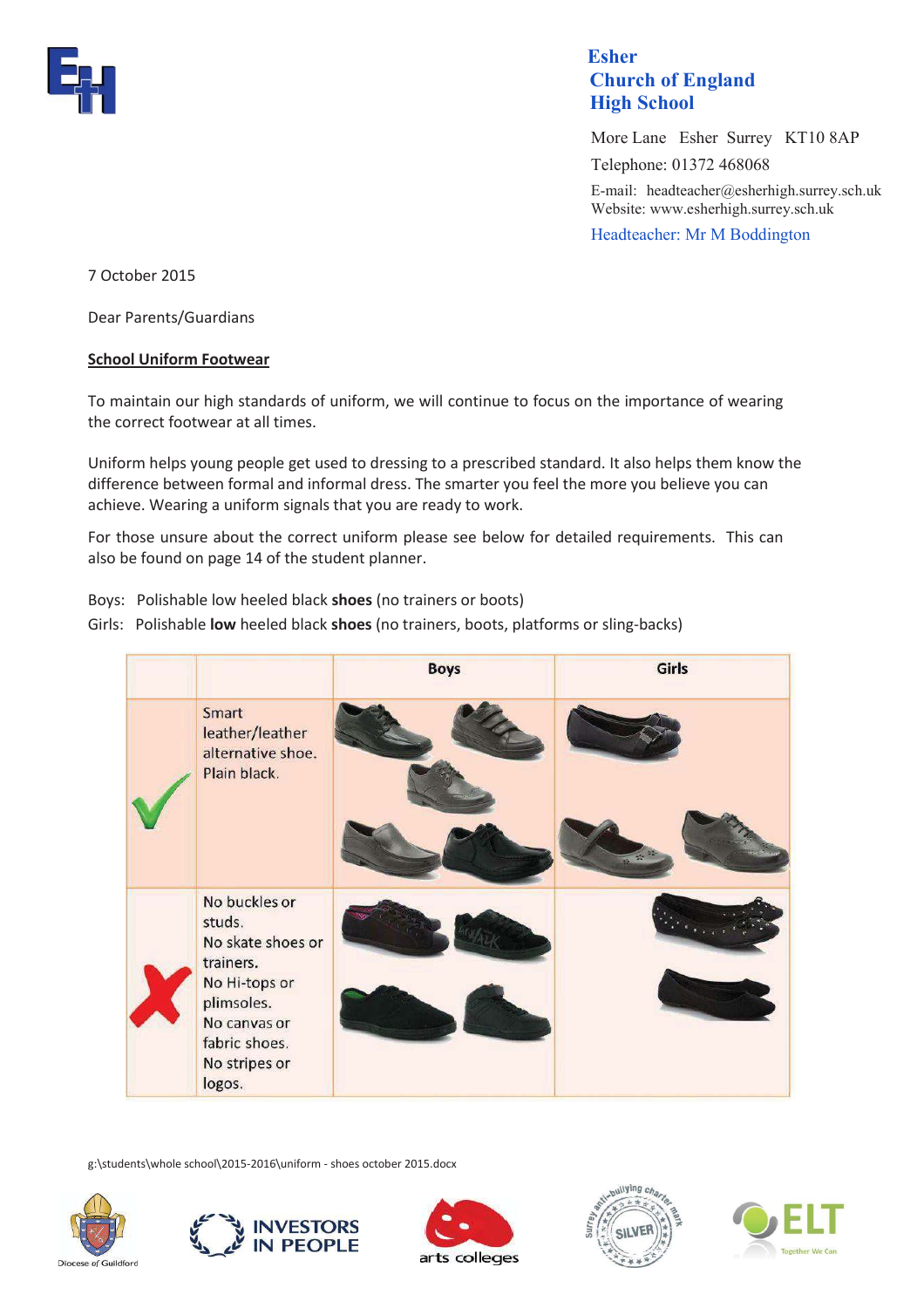

## **Esher Esher Church of England High School**

 More Lane Esher Surrey KT10 8AP Telephone: 01372 468068 E-mail: headteacher@esherhigh.surrey.sch.uk Website: www.esherhigh.surrey.sch.uk Headteacher: Mr M Boddington

7 October 2015

Dear Parents/Guardians

## **School Uniform Footwear**

To maintain our high standards of uniform, we will continue to focus on the importance of wearing the correct footwear at all times.

Uniform helps young people get used to dressing to a prescribed standard. It also helps them know the difference between formal and informal dress. The smarter you feel the more you believe you can achieve. Wearing a uniform signals that you are ready to work.

For those unsure about the correct uniform please see below for detailed requirements. This can also be found on page 14 of the student planner.

Boys: Polishable low heeled black **shoes** (no trainers or boots)

Girls: Polishable **low** heeled black **shoes** (no trainers, boots, platforms or sling-backs)



g:\students\whole school\2015-2016\uniform - shoes october 2015.docx